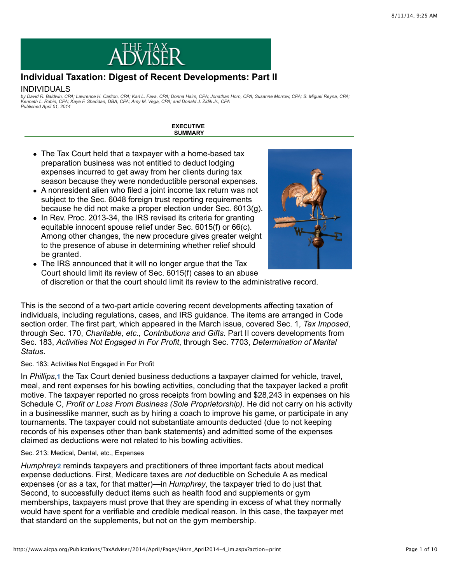

# **Individual Taxation: Digest of Recent Developments: Part II**

# INDIVIDUALS

by David R. Baldwin, CPA; Lawrence H. Carlton, CPA; Karl L. Fava, CPA; Donna Haim, CPA; Jonathan Horn, CPA; Susanne Morrow, CPA; S. Miguel Reyna, CPA;<br>Kenneth L. Rubin, CPA; Kaye F. Sheridan, DBA, CPA; Amy M. Vega, CPA; an *Published April 01, 2014*

> **EXECUTIVE SUMMARY**

- The Tax Court held that a taxpayer with a home-based tax preparation business was not entitled to deduct lodging expenses incurred to get away from her clients during tax season because they were nondeductible personal expenses.
- A nonresident alien who filed a joint income tax return was not subject to the Sec. 6048 foreign trust reporting requirements because he did not make a proper election under Sec. 6013(g).
- In Rev. Proc. 2013-34, the IRS revised its criteria for granting equitable innocent spouse relief under Sec. 6015(f) or 66(c). Among other changes, the new procedure gives greater weight to the presence of abuse in determining whether relief should be granted.



The IRS announced that it will no longer argue that the Tax Court should limit its review of Sec. 6015(f) cases to an abuse of discretion or that the court should limit its review to the administrative record.

This is the second of a two-part article covering recent developments affecting taxation of individuals, including regulations, cases, and IRS guidance. The items are arranged in Code section order. The first part, which appeared in the March issue, covered Sec. 1, *Tax Imposed*, through Sec. 170, *Charitable, etc., Contributions and Gifts*. Part II covers developments from Sec. 183, *Activities Not Engaged in For Profit*, through Sec. 7703, *Determination of Marital Status*.

Sec. 183: Activities Not Engaged in For Profit

In Phillips,<sup>1</sup> the Tax Court denied business deductions a taxpayer claimed for vehicle[,](http://www.aicpa.org/Publications/TaxAdviser/2014/April/Pages/Horn_April2014-4_im.aspx?action=print#fn_1) travel, meal, and rent expenses for his bowling activities, concluding that the taxpayer lacked a profit motive. The taxpayer reported no gross receipts from bowling and \$28,243 in expenses on his Schedule C, *Profit or Loss From Business (Sole Proprietorship)*. He did not carry on his activity in a businesslike manner, such as by hiring a coach to improve his game, or participate in any tournaments. The taxpayer could not substantiate amounts deducted (due to not keeping records of his expenses other than bank statements) and admitted some of the expenses claimed as deductions were not related to his bowling activities.

## Sec. 213: Medical, Dental, etc., Expenses

Humphrey<sup>[2](http://www.aicpa.org/Publications/TaxAdviser/2014/April/Pages/Horn_April2014-4_im.aspx?action=print#fn_2)</sup> reminds taxpayers and practitioners of three important facts about medical expense deductions. First, Medicare taxes are *not* deductible on Schedule A as medical expenses (or as a tax, for that matter)—in *Humphrey*, the taxpayer tried to do just that. Second, to successfully deduct items such as health food and supplements or gym memberships, taxpayers must prove that they are spending in excess of what they normally would have spent for a verifiable and credible medical reason. In this case, the taxpayer met that standard on the supplements, but not on the gym membership.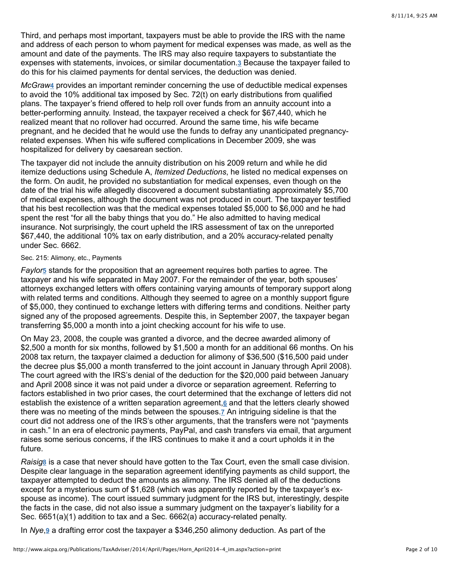Third, and perhaps most important, taxpayers must be able to provide the IRS with the name and address of each person to whom payment for medical expenses was made, as well as the amount and date of the payments. The IRS may also require taxpayers to substantiate the expenses with statements, invoices, or similar documentation.<sup>3</sup> Because the taxpayer failed to do this for his claimed payments for dental services, the deduction was denied.

McGraw<sub>[4](http://www.aicpa.org/Publications/TaxAdviser/2014/April/Pages/Horn_April2014-4_im.aspx?action=print#fn_4)</sub> provides an important reminder concerning the use of deductible medical expenses to avoid the 10% additional tax imposed by Sec. 72(t) on early distributions from qualified plans. The taxpayer's friend offered to help roll over funds from an annuity account into a better-performing annuity. Instead, the taxpayer received a check for \$67,440, which he realized meant that no rollover had occurred. Around the same time, his wife became pregnant, and he decided that he would use the funds to defray any unanticipated pregnancyrelated expenses. When his wife suffered complications in December 2009, she was hospitalized for delivery by caesarean section.

The taxpayer did not include the annuity distribution on his 2009 return and while he did itemize deductions using Schedule A, *Itemized Deductions*, he listed no medical expenses on the form. On audit, he provided no substantiation for medical expenses, even though on the date of the trial his wife allegedly discovered a document substantiating approximately \$5,700 of medical expenses, although the document was not produced in court. The taxpayer testified that his best recollection was that the medical expenses totaled \$5,000 to \$6,000 and he had spent the rest "for all the baby things that you do." He also admitted to having medical insurance. Not surprisingly, the court upheld the IRS assessment of tax on the unreported \$67,440, the additional 10% tax on early distribution, and a 20% accuracy-related penalty under Sec. 6662.

# Sec. 215: Alimony, etc., Payments

Faylor<sub>2</sub> stands for the proposition that an agreement requires both parties to agree. The taxpayer and his wife separated in May 2007. For the remainder of the year, both spouses' attorneys exchanged letters with offers containing varying amounts of temporary support along with related terms and conditions. Although they seemed to agree on a monthly support figure of \$5,000, they continued to exchange letters with differing terms and conditions. Neither party signed any of the proposed agreements. Despite this, in September 2007, the taxpayer began transferring \$5,000 a month into a joint checking account for his wife to use.

On May 23, 2008, the couple was granted a divorce, and the decree awarded alimony of \$2,500 a month for six months, followed by \$1,500 a month for an additional 66 months. On his 2008 tax return, the taxpayer claimed a deduction for alimony of \$36,500 (\$16,500 paid under the decree plus \$5,000 a month transferred to the joint account in January through April 2008). The court agreed with the IRS's denial of the deduction for the \$20,000 paid between January and April 2008 since it was not paid under a divorce or separation agreement. Referring to factors established in two prior cases, the court determined that the exchange of letters did not establish the existence of a written separation agreement[,](http://www.aicpa.org/Publications/TaxAdviser/2014/April/Pages/Horn_April2014-4_im.aspx?action=print#fn_6) **6** and that the letters clearly showed there was no meeting of the minds between the spouses[.](http://www.aicpa.org/Publications/TaxAdviser/2014/April/Pages/Horn_April2014-4_im.aspx?action=print#fn_7)<u>7</u> An intriguing sideline is that the court did not address one of the IRS's other arguments, that the transfers were not "payments in cash." In an era of electronic payments, PayPal, and cash transfers via email, that argument raises some serious concerns, if the IRS continues to make it and a court upholds it in the future.

*Raisig* is a case that never should have gotten to the Tax Court, even the small case division. **[8](http://www.aicpa.org/Publications/TaxAdviser/2014/April/Pages/Horn_April2014-4_im.aspx?action=print#fn_8)** Despite clear language in the separation agreement identifying payments as child support, the taxpayer attempted to deduct the amounts as alimony. The IRS denied all of the deductions except for a mysterious sum of \$1,628 (which was apparently reported by the taxpayer's exspouse as income). The court issued summary judgment for the IRS but, interestingly, despite the facts in the case, did not also issue a summary judgment on the taxpayer's liability for a Sec. 6651(a)(1) addition to tax and a Sec. 6662(a) accuracy-related penalty.

In Nye,<sup>g</sup> a drafting error cost the taxpayer a \$346,250 alimony deduction. As part of the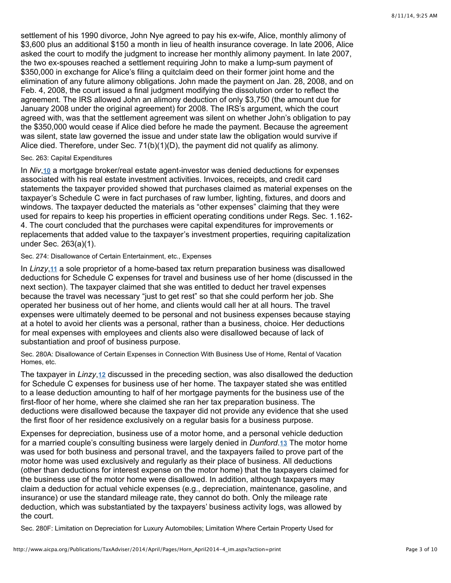settlement of his 1990 divorce, John Nye agreed to pay his ex-wife, Alice, monthly alimony of \$3,600 plus an additional \$150 a month in lieu of health insurance coverage. In late 2006, Alice asked the court to modify the judgment to increase her monthly alimony payment. In late 2007, the two ex-spouses reached a settlement requiring John to make a lump-sum payment of \$350,000 in exchange for Alice's filing a quitclaim deed on their former joint home and the elimination of any future alimony obligations. John made the payment on Jan. 28, 2008, and on Feb. 4, 2008, the court issued a final judgment modifying the dissolution order to reflect the agreement. The IRS allowed John an alimony deduction of only \$3,750 (the amount due for January 2008 under the original agreement) for 2008. The IRS's argument, which the court agreed with, was that the settlement agreement was silent on whether John's obligation to pay the \$350,000 would cease if Alice died before he made the payment. Because the agreement was silent, state law governed the issue and under state law the obligation would survive if Alice died. Therefore, under Sec. 71(b)(1)(D), the payment did not qualify as alimony.

#### Sec. 263: Capital Expenditures

In *Niv*,10 a mortgage broker/real estate agent-investor was denied deductions for expenses associated with his real estate investment activities. Invoices, receipts, and credit card statements the taxpayer provided showed that purchases claimed as material expenses on the taxpayer's Schedule C were in fact purchases of raw lumber, lighting, fixtures, and doors and windows. The taxpayer deducted the materials as "other expenses" claiming that they were used for repairs to keep his properties in efficient operating conditions under Regs. Sec. 1.162- 4. The court concluded that the purchases were capital expenditures for improvements or replacements that added value to the taxpayer's investment properties, requiring capitalization under Sec. 263(a)(1).

#### Sec. 274: Disallowance of Certain Entertainment, etc., Expenses

In Linzy,11 a sole proprietor of a home-based tax return preparation business was disallowed deductions for Schedule C expenses for travel and business use of her home (discussed in the next section). The taxpayer claimed that she was entitled to deduct her travel expenses because the travel was necessary "just to get rest" so that she could perform her job. She operated her business out of her home, and clients would call her at all hours. The travel expenses were ultimately deemed to be personal and not business expenses because staying at a hotel to avoid her clients was a personal, rather than a business, choice. Her deductions for meal expenses with employees and clients also were disallowed because of lack of substantiation and proof of business purpose.

Sec. 280A: Disallowance of Certain Expenses in Connection With Business Use of Home, Rental of Vacation Homes, etc.

The taxpayer in *Linzy*,12 discussed in the preceding section[,](http://www.aicpa.org/Publications/TaxAdviser/2014/April/Pages/Horn_April2014-4_im.aspx?action=print#fn_12) was also disallowed the deduction for Schedule C expenses for business use of her home. The taxpayer stated she was entitled to a lease deduction amounting to half of her mortgage payments for the business use of the first-floor of her home, where she claimed she ran her tax preparation business. The deductions were disallowed because the taxpayer did not provide any evidence that she used the first floor of her residence exclusively on a regular basis for a business purpose.

Expenses for depreciation, business use of a motor home, and a personal vehicle deduction for a married couple's consulting business were largely denied in *Dunford*.13 The motor home was used for both business and personal travel, and the taxpayers failed to prove part of the motor home was used exclusively and regularly as their place of business. All deductions (other than deductions for interest expense on the motor home) that the taxpayers claimed for the business use of the motor home were disallowed. In addition, although taxpayers may claim a deduction for actual vehicle expenses (e.g., depreciation, maintenance, gasoline, and insurance) or use the standard mileage rate, they cannot do both. Only the mileage rate deduction, which was substantiated by the taxpayers' business activity logs, was allowed by the court.

Sec. 280F: Limitation on Depreciation for Luxury Automobiles; Limitation Where Certain Property Used for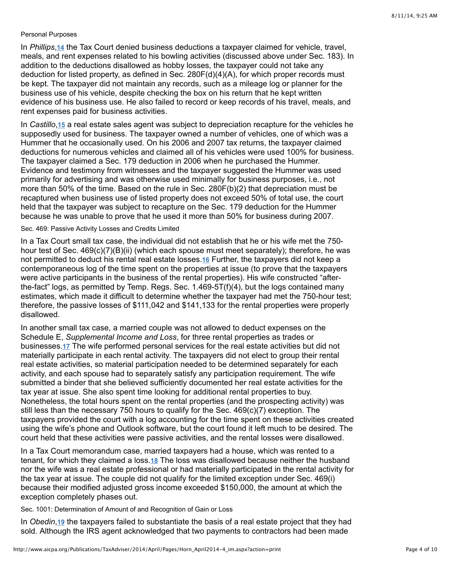#### Personal Purposes

In *Phillips*[,](http://www.aicpa.org/Publications/TaxAdviser/2014/April/Pages/Horn_April2014-4_im.aspx?action=print#fn_14) 14 the Tax Court denied business deductions a taxpayer claimed for vehicle, travel, meals, and rent expenses related to his bowling activities (discussed above under Sec. 183). In addition to the deductions disallowed as hobby losses, the taxpayer could not take any deduction for listed property, as defined in Sec. 280F(d)(4)(A), for which proper records must be kept. The taxpayer did not maintain any records, such as a mileage log or planner for the business use of his vehicle, despite checking the box on his return that he kept written evidence of his business use. He also failed to record or keep records of his travel, meals, and rent expenses paid for business activities.

In Castillo[,](http://www.aicpa.org/Publications/TaxAdviser/2014/April/Pages/Horn_April2014-4_im.aspx?action=print#fn_15) 15 a real estate sales agent was subject to depreciation recapture for the vehicles he supposedly used for business. The taxpayer owned a number of vehicles, one of which was a Hummer that he occasionally used. On his 2006 and 2007 tax returns, the taxpayer claimed deductions for numerous vehicles and claimed all of his vehicles were used 100% for business. The taxpayer claimed a Sec. 179 deduction in 2006 when he purchased the Hummer. Evidence and testimony from witnesses and the taxpayer suggested the Hummer was used primarily for advertising and was otherwise used minimally for business purposes, i.e., not more than 50% of the time. Based on the rule in Sec. 280F(b)(2) that depreciation must be recaptured when business use of listed property does not exceed 50% of total use, the court held that the taxpayer was subject to recapture on the Sec. 179 deduction for the Hummer because he was unable to prove that he used it more than 50% for business during 2007.

#### Sec. 469: Passive Activity Losses and Credits Limited

In a Tax Court small tax case, the individual did not establish that he or his wife met the 750 hour test of Sec. 469(c)(7)(B)(ii) (which each spouse must meet separately); therefore, he was not permitted to deduct his rental real estate losses[.](http://www.aicpa.org/Publications/TaxAdviser/2014/April/Pages/Horn_April2014-4_im.aspx?action=print#fn_16)16 Further, the taxpayers did not keep a contemporaneous log of the time spent on the properties at issue (to prove that the taxpayers were active participants in the business of the rental properties). His wife constructed "afterthe-fact" logs, as permitted by Temp. Regs. Sec. 1.469-5T(f)(4), but the logs contained many estimates, which made it difficult to determine whether the taxpayer had met the 750-hour test; therefore, the passive losses of \$111,042 and \$141,133 for the rental properties were properly disallowed.

In another small tax case, a married couple was not allowed to deduct expenses on the Schedule E, *Supplemental Income and Loss*, for three rental properties as trades or businesses.<sup>17</sup>The wife performed personal services for the real estate activities but did not materially participate in each rental activity. The taxpayers did not elect to group their rental real estate activities, so material participation needed to be determined separately for each activity, and each spouse had to separately satisfy any participation requirement. The wife submitted a binder that she believed sufficiently documented her real estate activities for the tax year at issue. She also spent time looking for additional rental properties to buy. Nonetheless, the total hours spent on the rental properties (and the prospecting activity) was still less than the necessary 750 hours to qualify for the Sec. 469(c)(7) exception. The taxpayers provided the court with a log accounting for the time spent on these activities created using the wife's phone and Outlook software, but the court found it left much to be desired. The court held that these activities were passive activities, and the rental losses were disallowed.

In a Tax Court memorandum case, married taxpayers had a house, which was rented to a tenant, for which they claimed a loss.<u>18</u> The loss was disallowed because neither the husband nor the wife was a real estate professional or had materially participated in the rental activity for the tax year at issue. The couple did not qualify for the limited exception under Sec. 469(i) because their modified adjusted gross income exceeded \$150,000, the amount at which the exception completely phases out.

Sec. 1001: Determination of Amount of and Recognition of Gain or Loss

In Obedin[,](http://www.aicpa.org/Publications/TaxAdviser/2014/April/Pages/Horn_April2014-4_im.aspx?action=print#fn_19) 19 the taxpayers failed to substantiate the basis of a real estate project that they had sold. Although the IRS agent acknowledged that two payments to contractors had been made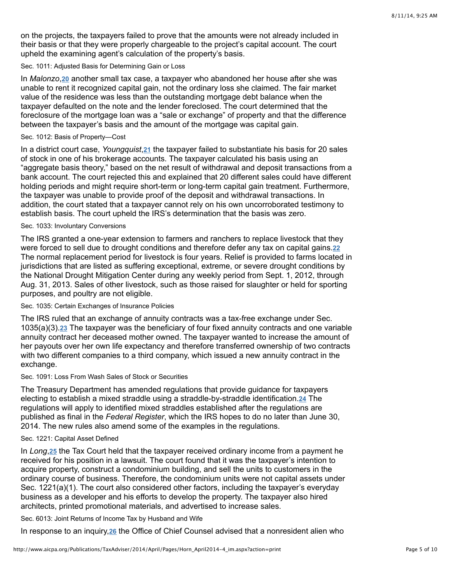on the projects, the taxpayers failed to prove that the amounts were not already included in their basis or that they were properly chargeable to the project's capital account. The court upheld the examining agent's calculation of the property's basis.

## Sec. 1011: Adjusted Basis for Determining Gain or Loss

In*Malonzo*, 20 another small tax case, a taxpayer who abandoned her house after she was unable to rent it recognized capital gain, not the ordinary loss she claimed. The fair market value of the residence was less than the outstanding mortgage debt balance when the taxpayer defaulted on the note and the lender foreclosed. The court determined that the foreclosure of the mortgage loan was a "sale or exchange" of property and that the difference between the taxpayer's basis and the amount of the mortgage was capital gain.

## Sec. 1012: Basis of Property—Cost

Ina district court case, Youngquist, 21 the taxpayer failed to substantiate his basis for 20 sales of stock in one of his brokerage accounts. The taxpayer calculated his basis using an "aggregate basis theory," based on the net result of withdrawal and deposit transactions from a bank account. The court rejected this and explained that 20 different sales could have different holding periods and might require short-term or long-term capital gain treatment. Furthermore, the taxpayer was unable to provide proof of the deposit and withdrawal transactions. In addition, the court stated that a taxpayer cannot rely on his own uncorroborated testimony to establish basis. The court upheld the IRS's determination that the basis was zero.

#### Sec. 1033: Involuntary Conversions

The IRS granted a one-year extension to farmers and ranchers to replace livestock that they were forced to sell due to drought conditions and therefore defer any tax on capital gains. **[22](http://www.aicpa.org/Publications/TaxAdviser/2014/April/Pages/Horn_April2014-4_im.aspx?action=print#fn_22)** The normal replacement period for livestock is four years. Relief is provided to farms located in jurisdictions that are listed as suffering exceptional, extreme, or severe drought conditions by the National Drought Mitigation Center during any weekly period from Sept. 1, 2012, through Aug. 31, 2013. Sales of other livestock, such as those raised for slaughter or held for sporting purposes, and poultry are not eligible.

## Sec. 1035: Certain Exchanges of Insurance Policies

The IRS ruled that an exchange of annuity contracts was a tax-free exchange under Sec. 1035(a)(3).23 The taxpayer was the beneficiary of four fixed annuity contracts and one variable annuity contract her deceased mother owned. The taxpayer wanted to increase the amount of her payouts over her own life expectancy and therefore transferred ownership of two contracts with two different companies to a third company, which issued a new annuity contract in the exchange.

### Sec. 1091: Loss From Wash Sales of Stock or Securities

The Treasury Department has amended regulations that provide guidance for taxpayers electingto establish a mixed straddle using a straddle-by-straddle identification.<sup>24</sup> The regulations will apply to identified mixed straddles established after the regulations are published as final in the *Federal Register*, which the IRS hopes to do no later than June 30, 2014. The new rules also amend some of the examples in the regulations.

# Sec. 1221: Capital Asset Defined

In Long[,](http://www.aicpa.org/Publications/TaxAdviser/2014/April/Pages/Horn_April2014-4_im.aspx?action=print#fn_25) 25 the Tax Court held that the taxpayer received ordinary income from a payment he received for his position in a lawsuit. The court found that it was the taxpayer's intention to acquire property, construct a condominium building, and sell the units to customers in the ordinary course of business. Therefore, the condominium units were not capital assets under Sec. 1221(a)(1). The court also considered other factors, including the taxpayer's everyday business as a developer and his efforts to develop the property. The taxpayer also hired architects, printed promotional materials, and advertised to increase sales.

Sec. 6013: Joint Returns of Income Tax by Husband and Wife

In response to an inquiry[,](http://www.aicpa.org/Publications/TaxAdviser/2014/April/Pages/Horn_April2014-4_im.aspx?action=print#fn_26) 26 the Office of Chief Counsel advised that a nonresident alien who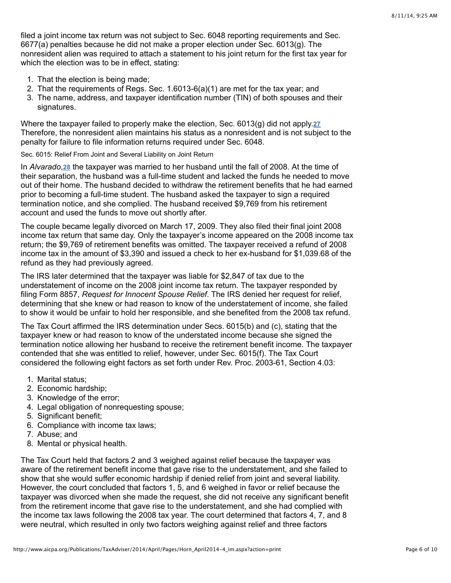filed a joint income tax return was not subject to Sec. 6048 reporting requirements and Sec. 6677(a) penalties because he did not make a proper election under Sec. 6013(g). The nonresident alien was required to attach a statement to his joint return for the first tax year for which the election was to be in effect, stating:

- 1. That the election is being made;
- 2. That the requirements of Regs. Sec. 1.6013-6(a)(1) are met for the tax year; and
- 3. The name, address, and taxpayer identification number (TIN) of both spouses and their signatures.

Where the taxpayer failed to properly make the election, Sec. 6013(g) did not apply. **[27](http://www.aicpa.org/Publications/TaxAdviser/2014/April/Pages/Horn_April2014-4_im.aspx?action=print#fn_27)** Therefore, the nonresident alien maintains his status as a nonresident and is not subject to the penalty for failure to file information returns required under Sec. 6048.

Sec. 6015: Relief From Joint and Several Liability on Joint Return

In Alvarado[,](http://www.aicpa.org/Publications/TaxAdviser/2014/April/Pages/Horn_April2014-4_im.aspx?action=print#fn_28) 28 the taxpayer was married to her husband until the fall of 2008. At the time of their separation, the husband was a full-time student and lacked the funds he needed to move out of their home. The husband decided to withdraw the retirement benefits that he had earned prior to becoming a full-time student. The husband asked the taxpayer to sign a required termination notice, and she complied. The husband received \$9,769 from his retirement account and used the funds to move out shortly after.

The couple became legally divorced on March 17, 2009. They also filed their final joint 2008 income tax return that same day. Only the taxpayer's income appeared on the 2008 income tax return; the \$9,769 of retirement benefits was omitted. The taxpayer received a refund of 2008 income tax in the amount of \$3,390 and issued a check to her ex-husband for \$1,039.68 of the refund as they had previously agreed.

The IRS later determined that the taxpayer was liable for \$2,847 of tax due to the understatement of income on the 2008 joint income tax return. The taxpayer responded by filing Form 8857, *Request for Innocent Spouse Relief*. The IRS denied her request for relief, determining that she knew or had reason to know of the understatement of income, she failed to show it would be unfair to hold her responsible, and she benefited from the 2008 tax refund.

The Tax Court affirmed the IRS determination under Secs. 6015(b) and (c), stating that the taxpayer knew or had reason to know of the understated income because she signed the termination notice allowing her husband to receive the retirement benefit income. The taxpayer contended that she was entitled to relief, however, under Sec. 6015(f). The Tax Court considered the following eight factors as set forth under Rev. Proc. 2003-61, Section 4.03:

- 1. Marital status;
- 2. Economic hardship;
- 3. Knowledge of the error;
- 4. Legal obligation of nonrequesting spouse;
- 5. Significant benefit;
- 6. Compliance with income tax laws;
- 7. Abuse; and
- 8. Mental or physical health.

The Tax Court held that factors 2 and 3 weighed against relief because the taxpayer was aware of the retirement benefit income that gave rise to the understatement, and she failed to show that she would suffer economic hardship if denied relief from joint and several liability. However, the court concluded that factors 1, 5, and 6 weighed in favor or relief because the taxpayer was divorced when she made the request, she did not receive any significant benefit from the retirement income that gave rise to the understatement, and she had complied with the income tax laws following the 2008 tax year. The court determined that factors 4, 7, and 8 were neutral, which resulted in only two factors weighing against relief and three factors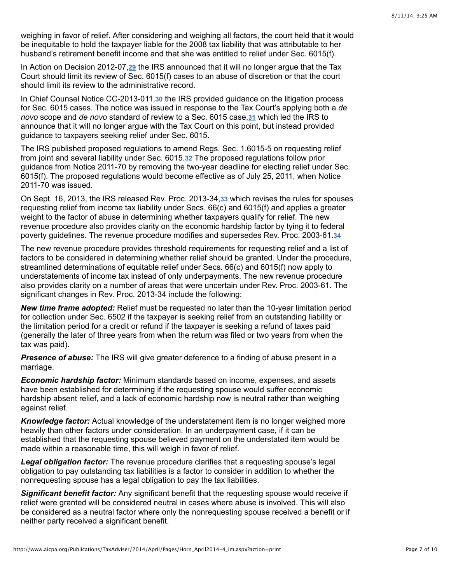weighing in favor of relief. After considering and weighing all factors, the court held that it would be inequitable to hold the taxpayer liable for the 2008 tax liability that was attributable to her husband's retirement benefit income and that she was entitled to relief under Sec. 6015(f).

In Action on Decision 2012-07,29 the IRS announced that it will no longer argue that the Tax Court should limit its review of Sec. 6015(f) cases to an abuse of discretion or that the court should limit its review to the administrative record.

In Chief Counsel Notice CC-2013-011,30 the IRS provided guidance on the litigation process for Sec. 6015 cases. The notice was issued in response to the Tax Court's applying both a *de* novo scope and de novo standard of review to a Sec. 6015 case[,](http://www.aicpa.org/Publications/TaxAdviser/2014/April/Pages/Horn_April2014-4_im.aspx?action=print#fn_31) 31 which led the IRS to announce that it will no longer argue with the Tax Court on this point, but instead provided guidance to taxpayers seeking relief under Sec. 6015.

The IRS published proposed regulations to amend Regs. Sec. 1.6015-5 on requesting relief from joint and several liability under Sec[.](http://www.aicpa.org/Publications/TaxAdviser/2014/April/Pages/Horn_April2014-4_im.aspx?action=print#fn_32) 6015.32 The proposed regulations follow prior guidance from Notice 2011-70 by removing the two-year deadline for electing relief under Sec. 6015(f). The proposed regulations would become effective as of July 25, 2011, when Notice 2011-70 was issued.

On Sept. 16[,](http://www.aicpa.org/Publications/TaxAdviser/2014/April/Pages/Horn_April2014-4_im.aspx?action=print#fn_33) 2013, the IRS released Rev. Proc. 2013-34,33 which revises the rules for spouses requesting relief from income tax liability under Secs. 66(c) and 6015(f) and applies a greater weight to the factor of abuse in determining whether taxpayers qualify for relief. The new revenue procedure also provides clarity on the economic hardship factor by tying it to federal poverty guidelines. The revenue procedure modifies and supersedes Rev. Proc. 2003-61. **[34](http://www.aicpa.org/Publications/TaxAdviser/2014/April/Pages/Horn_April2014-4_im.aspx?action=print#fn_34)**

The new revenue procedure provides threshold requirements for requesting relief and a list of factors to be considered in determining whether relief should be granted. Under the procedure, streamlined determinations of equitable relief under Secs. 66(c) and 6015(f) now apply to understatements of income tax instead of only underpayments. The new revenue procedure also provides clarity on a number of areas that were uncertain under Rev. Proc. 2003-61. The significant changes in Rev. Proc. 2013-34 include the following:

*New time frame adopted:* Relief must be requested no later than the 10-year limitation period for collection under Sec. 6502 if the taxpayer is seeking relief from an outstanding liability or the limitation period for a credit or refund if the taxpayer is seeking a refund of taxes paid (generally the later of three years from when the return was filed or two years from when the tax was paid).

*Presence of abuse:* The IRS will give greater deference to a finding of abuse present in a marriage.

*Economic hardship factor:* Minimum standards based on income, expenses, and assets have been established for determining if the requesting spouse would suffer economic hardship absent relief, and a lack of economic hardship now is neutral rather than weighing against relief.

*Knowledge factor:* Actual knowledge of the understatement item is no longer weighed more heavily than other factors under consideration. In an underpayment case, if it can be established that the requesting spouse believed payment on the understated item would be made within a reasonable time, this will weigh in favor of relief.

*Legal obligation factor:* The revenue procedure clarifies that a requesting spouse's legal obligation to pay outstanding tax liabilities is a factor to consider in addition to whether the nonrequesting spouse has a legal obligation to pay the tax liabilities.

*Significant benefit factor:* Any significant benefit that the requesting spouse would receive if relief were granted will be considered neutral in cases where abuse is involved. This will also be considered as a neutral factor where only the nonrequesting spouse received a benefit or if neither party received a significant benefit.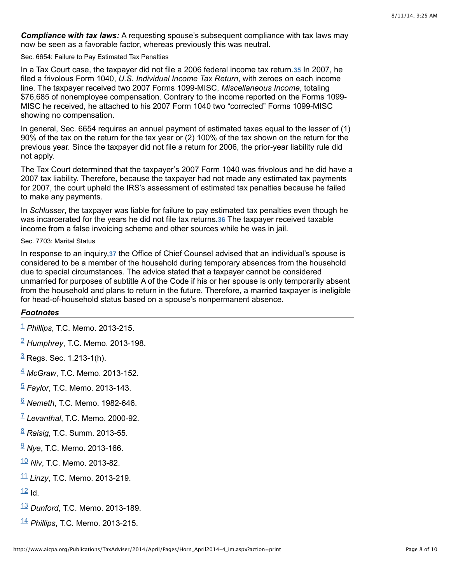*Compliance with tax laws:* A requesting spouse's subsequent compliance with tax laws may now be seen as a favorable factor, whereas previously this was neutral.

Sec. 6654: Failure to Pay Estimated Tax Penalties

In a Tax Court case, the taxpayer did not file a 2006 federal income tax return.<sup>35</sup> In 2007, he filed a frivolous Form 1040, *U.S. Individual Income Tax Return*, with zeroes on each income line. The taxpayer received two 2007 Forms 1099-MISC, *Miscellaneous Income*, totaling \$76,685 of nonemployee compensation. Contrary to the income reported on the Forms 1099- MISC he received, he attached to his 2007 Form 1040 two "corrected" Forms 1099-MISC showing no compensation.

In general, Sec. 6654 requires an annual payment of estimated taxes equal to the lesser of (1) 90% of the tax on the return for the tax year or (2) 100% of the tax shown on the return for the previous year. Since the taxpayer did not file a return for 2006, the prior-year liability rule did not apply.

The Tax Court determined that the taxpayer's 2007 Form 1040 was frivolous and he did have a 2007 tax liability. Therefore, because the taxpayer had not made any estimated tax payments for 2007, the court upheld the IRS's assessment of estimated tax penalties because he failed to make any payments.

In *Schlusser*, the taxpayer was liable for failure to pay estimated tax penalties even though he wasincarcerated for the years he did not file tax returns.**36** The taxpayer received taxable income from a false invoicing scheme and other sources while he was in jail.

Sec. 7703: Marital Status

In response to an inquiry[,](http://www.aicpa.org/Publications/TaxAdviser/2014/April/Pages/Horn_April2014-4_im.aspx?action=print#fn_37) 37 the Office of Chief Counsel advised that an individual's spouse is considered to be a member of the household during temporary absences from the household due to special circumstances. The advice stated that a taxpayer cannot be considered unmarried for purposes of subtitle A of the Code if his or her spouse is only temporarily absent from the household and plans to return in the future. Therefore, a married taxpayer is ineligible for head-of-household status based on a spouse's nonpermanent absence.

### *Footnotes*

- *Phillips*, T.C. Memo. 2013-215. [1](http://www.aicpa.org/Publications/TaxAdviser/2014/April/Pages/Horn_April2014-4_im.aspx?action=print#fnref_1)
- *Humphrey*, T.C. Memo. 2013-198. [2](http://www.aicpa.org/Publications/TaxAdviser/2014/April/Pages/Horn_April2014-4_im.aspx?action=print#fnref_2)
- <sup>[3](http://www.aicpa.org/Publications/TaxAdviser/2014/April/Pages/Horn_April2014-4_im.aspx?action=print#fnref_3)</sup> Regs. Sec. 1.213-1(h).
- *McGraw*, T.C. Memo. 2013-152. [4](http://www.aicpa.org/Publications/TaxAdviser/2014/April/Pages/Horn_April2014-4_im.aspx?action=print#fnref_4)
- *Faylor*, T.C. Memo. 2013-143. [5](http://www.aicpa.org/Publications/TaxAdviser/2014/April/Pages/Horn_April2014-4_im.aspx?action=print#fnref_5)
- *Nemeth*, T.C. Memo. 1982-646. [6](http://www.aicpa.org/Publications/TaxAdviser/2014/April/Pages/Horn_April2014-4_im.aspx?action=print#fnref_6)
- *Levanthal*, T.C. Memo. 2000-92. [7](http://www.aicpa.org/Publications/TaxAdviser/2014/April/Pages/Horn_April2014-4_im.aspx?action=print#fnref_7)
- *Raisig*, T.C. Summ. 2013-55. [8](http://www.aicpa.org/Publications/TaxAdviser/2014/April/Pages/Horn_April2014-4_im.aspx?action=print#fnref_8)
- *Nye*, T.C. Memo. 2013-166. [9](http://www.aicpa.org/Publications/TaxAdviser/2014/April/Pages/Horn_April2014-4_im.aspx?action=print#fnref_9)
- *Niv*, T.C. Memo. 2013-82. [10](http://www.aicpa.org/Publications/TaxAdviser/2014/April/Pages/Horn_April2014-4_im.aspx?action=print#fnref_10)
- *Linzy*, T.C. Memo. 2013-219. [11](http://www.aicpa.org/Publications/TaxAdviser/2014/April/Pages/Horn_April2014-4_im.aspx?action=print#fnref_11)

 $12$  Id.

- [13](http://www.aicpa.org/Publications/TaxAdviser/2014/April/Pages/Horn_April2014-4_im.aspx?action=print#fnref_13) Dunford, T.C. Memo. 2013-189.
- *Phillips*, T.C. Memo. 2013-215. [14](http://www.aicpa.org/Publications/TaxAdviser/2014/April/Pages/Horn_April2014-4_im.aspx?action=print#fnref_14)